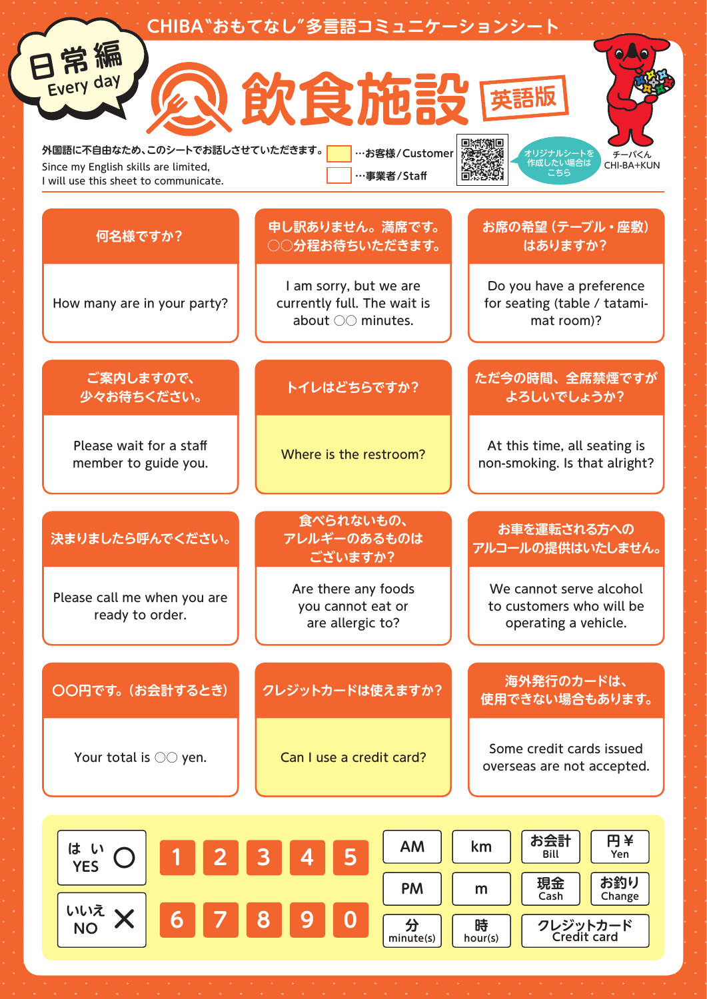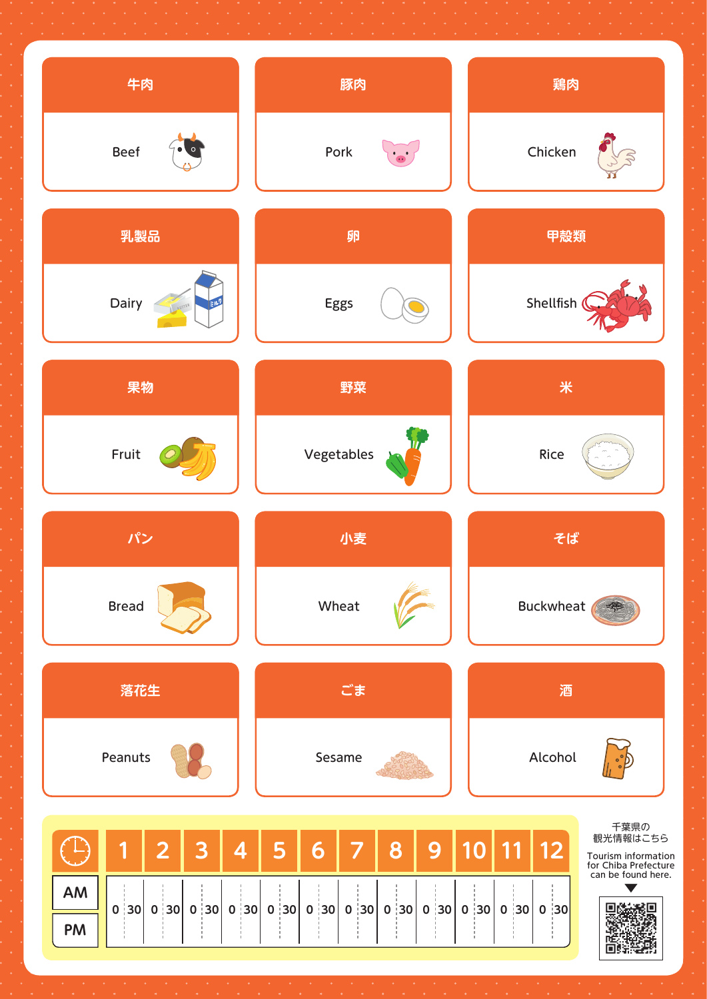| 牛肉                     | 豚肉         | 鶏肉        |
|------------------------|------------|-----------|
| <b>Beef</b>            | Pork       | Chicken   |
| 乳製品                    | 卵          | 甲殻類       |
| Dairy<br><b>AUTTER</b> | Eggs       | Shellfish |
| 果物                     | 野菜         | *         |
| Fruit                  | Vegetables | Rice      |
|                        |            |           |
| パン                     | 小麦         | そば        |
| <b>Bread</b>           | Wheat      | Buckwheat |
| 落花生                    | ごま         | 酒         |
| Peanuts                | Sesame     | Alcohol   |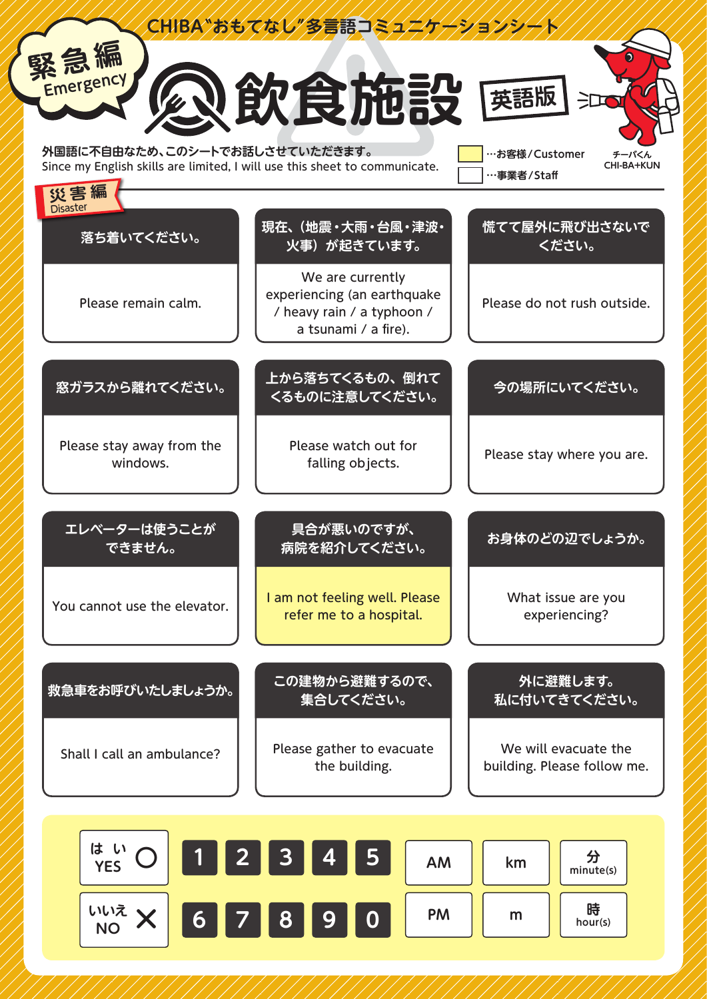